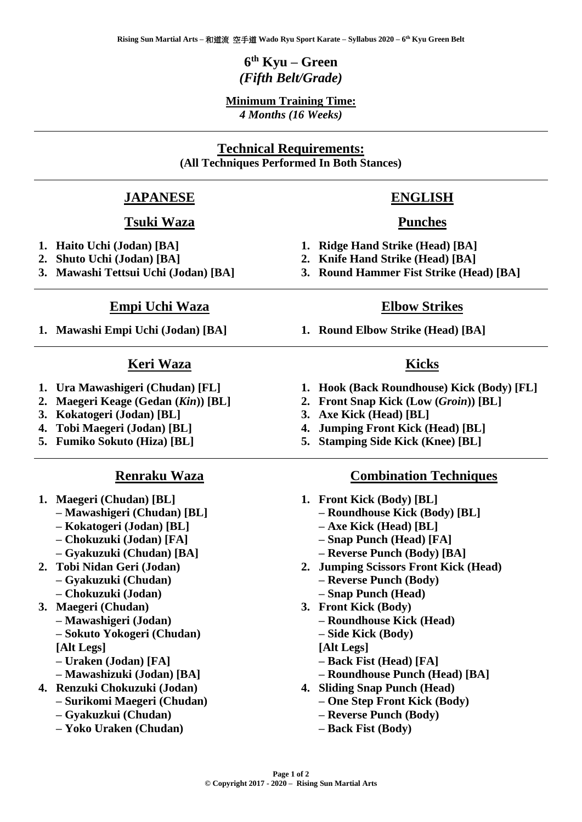### **6 th Kyu – Green** *(Fifth Belt/Grade)*

#### **Minimum Training Time:** *4 Months (16 Weeks)*

#### **Technical Requirements: (All Techniques Performed In Both Stances)**

#### **JAPANESE**

#### **Tsuki Waza**

- **1. Haito Uchi (Jodan) [BA]**
- **2. Shuto Uchi (Jodan) [BA]**
- **3. Mawashi Tettsui Uchi (Jodan) [BA]**

#### **Empi Uchi Waza**

**1. Mawashi Empi Uchi (Jodan) [BA]**

#### **Keri Waza**

- **1. Ura Mawashigeri (Chudan) [FL]**
- **2. Maegeri Keage (Gedan (***Kin***)) [BL]**
- **3. Kokatogeri (Jodan) [BL]**
- **4. Tobi Maegeri (Jodan) [BL]**
- **5. Fumiko Sokuto (Hiza) [BL]**

#### **Renraku Waza**

- **1. Maegeri (Chudan) [BL]**
	- **– Mawashigeri (Chudan) [BL]**
	- **– Kokatogeri (Jodan) [BL]**
	- **– Chokuzuki (Jodan) [FA]**
	- **– Gyakuzuki (Chudan) [BA]**
- **2. Tobi Nidan Geri (Jodan) – Gyakuzuki (Chudan)** 
	- **– Chokuzuki (Jodan)**
- **3. Maegeri (Chudan) – Mawashigeri (Jodan)** 
	- **– Sokuto Yokogeri (Chudan) [Alt Legs]**
	- **– Uraken (Jodan) [FA]**
	- **– Mawashizuki (Jodan) [BA]**
- **4. Renzuki Chokuzuki (Jodan)** 
	- **– Surikomi Maegeri (Chudan)**
	- **– Gyakuzkui (Chudan) – Yoko Uraken (Chudan)**

# **ENGLISH Punches**

- **1. Ridge Hand Strike (Head) [BA]**
- **2. Knife Hand Strike (Head) [BA]**
- **3. Round Hammer Fist Strike (Head) [BA]**

#### **Elbow Strikes**

**1. Round Elbow Strike (Head) [BA]**

#### **Kicks**

- **1. Hook (Back Roundhouse) Kick (Body) [FL]**
- **2. Front Snap Kick (Low (***Groin***)) [BL]**
- **3. Axe Kick (Head) [BL]**
- **4. Jumping Front Kick (Head) [BL]**
- **5. Stamping Side Kick (Knee) [BL]**

#### **Combination Techniques**

- **1. Front Kick (Body) [BL]** 
	- **– Roundhouse Kick (Body) [BL]**
	- **– Axe Kick (Head) [BL]**
	- **– Snap Punch (Head) [FA]**
	- **– Reverse Punch (Body) [BA]**
- **2. Jumping Scissors Front Kick (Head) – Reverse Punch (Body)** 
	- **– Snap Punch (Head)**
- **3. Front Kick (Body)** 
	- **– Roundhouse Kick (Head)**
	- **– Side Kick (Body)**
	- **[Alt Legs]**
	- **– Back Fist (Head) [FA]**
	- **– Roundhouse Punch (Head) [BA]**
- **4. Sliding Snap Punch (Head)** 
	- **– One Step Front Kick (Body)**
	- **– Reverse Punch (Body)**
	- **– Back Fist (Body)**